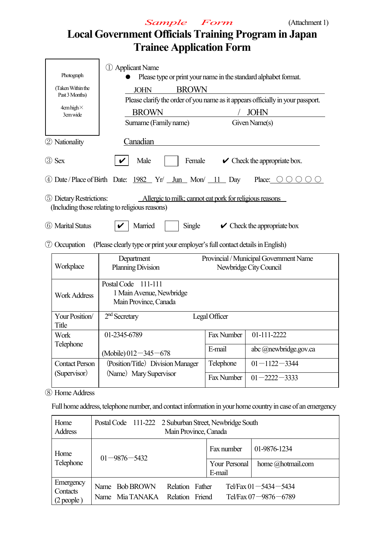

# **Local Government Officials Training Program in Japan Trainee Application Form**

| Photograph<br>(Taken Within the<br>Past 3 Months)<br>$4$ cm high $\times$<br>3cm wide | 1 Applicant Name<br>Please type or print your name in the standard alphabet format.<br><b>BROWN</b><br><b>JOHN</b><br>Please clarify the order of you name as it appears officially in your passport.<br><b>BROWN</b><br><b>JOHN</b><br>Surname (Family name)<br>Given Name(s) |            |                                                                  |  |  |
|---------------------------------------------------------------------------------------|--------------------------------------------------------------------------------------------------------------------------------------------------------------------------------------------------------------------------------------------------------------------------------|------------|------------------------------------------------------------------|--|--|
| 2 Nationality                                                                         | Canadian                                                                                                                                                                                                                                                                       |            |                                                                  |  |  |
| 3 Sex                                                                                 | Male<br>Female                                                                                                                                                                                                                                                                 |            | $\vee$ Check the appropriate box.                                |  |  |
|                                                                                       | 4 Date/Place of Birth Date: 1982 Yr/ Jun Mon/ 11 Day                                                                                                                                                                                                                           |            | Place: $\bigcirc$ $\bigcirc$ $\bigcirc$                          |  |  |
| 5 Dietary Restrictions:<br>6 Marital Status                                           | Allergic to milk; cannot eat pork for religious reasons<br>(Including those relating to religious reasons)<br>Married<br>Single                                                                                                                                                |            | $\vee$ Check the appropriate box                                 |  |  |
|                                                                                       |                                                                                                                                                                                                                                                                                |            |                                                                  |  |  |
| <b>7</b> Occupation<br>Workplace                                                      | (Please clearly type or print your employer's full contact details in English)<br>Department<br><b>Planning Division</b>                                                                                                                                                       |            | Provincial / Municipal Government Name<br>Newbridge City Council |  |  |
| <b>Work Address</b>                                                                   | Postal Code 111-111<br>1 Main Avenue, Newbridge<br>Main Province, Canada                                                                                                                                                                                                       |            |                                                                  |  |  |
| Your Position/<br>Title                                                               | $2nd$ Secretary<br>Legal Officer                                                                                                                                                                                                                                               |            |                                                                  |  |  |
| Work                                                                                  | 01-2345-6789                                                                                                                                                                                                                                                                   | Fax Number | 01-111-2222                                                      |  |  |
| Telephone                                                                             | abc @newbridge.gov.ca                                                                                                                                                                                                                                                          |            |                                                                  |  |  |
| <b>Contact Person</b>                                                                 | (Mobile) $012 - 345 - 678$<br>(Position/Title) Division Manager                                                                                                                                                                                                                | Telephone  | $01 - 1122 - 3344$                                               |  |  |
| (Supervisor)<br>(Name) Mary Supervisor<br>Fax Number<br>$01 - 2222 - 3333$            |                                                                                                                                                                                                                                                                                |            |                                                                  |  |  |

⑧ HomeAddress

Full home address, telephone number, and contact information in your home country in case of an emergency

| Home<br><b>Address</b>                | Postal Code 111-222 2 Suburban Street, Newbridge South<br>Main Province, Canada |                                    |                         |                                                          |
|---------------------------------------|---------------------------------------------------------------------------------|------------------------------------|-------------------------|----------------------------------------------------------|
| Home                                  | $01 - 9876 - 5432$                                                              |                                    | Fax number              | 01-9876-1234                                             |
| Telephone                             |                                                                                 |                                    | Your Personal<br>E-mail | home @hotmail.com                                        |
| Emergency<br>Contacts<br>$(2$ people) | Name Bob BROWN<br>Name Mia TANAKA                                               | Relation Father<br>Relation Friend |                         | Tel/Fax $01 - 5434 - 5434$<br>Tel/Fax $07 - 9876 - 6789$ |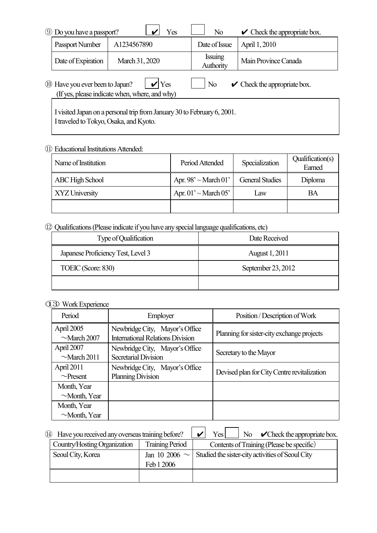| <b>9 Do you have a passport?</b> | Yes                                                                | N <sub>0</sub>              | $\triangleright$ Check the appropriate box. |
|----------------------------------|--------------------------------------------------------------------|-----------------------------|---------------------------------------------|
| Passport Number                  | A1234567890                                                        | Date of Issue               | April 1, 2010                               |
| Date of Expiration               | March 31, 2020                                                     | <b>Issuing</b><br>Authority | Main Province Canada                        |
| 10 Have you ever been to Japan?  | $\mathbf{V}$ Yes<br>(If yes, please indicate when, where, and why) | N <sub>0</sub>              | $\mathcal V$ Check the appropriate box.     |

I visited Japan on a personal trip from January 30 to February 6, 2001. I traveled to Tokyo, Osaka, and Kyoto.

#### ⑪ EducationalInstitutionsAttended:

| Name of Institution    | Period Attended                             | Specialization         | Qualification(s)<br>Earned |  |
|------------------------|---------------------------------------------|------------------------|----------------------------|--|
| <b>ABC High School</b> | Apr. $98^\circ \sim \text{March } 01^\circ$ | <b>General Studies</b> | Diploma                    |  |
| XYZ University         | Apr. $01' \sim$ March 05'                   | Law                    | BA                         |  |
|                        |                                             |                        |                            |  |

### ⑫ Qualifications(Please indicate if you have anyspeciallanguage qualifications, etc)

| Type of Qualification              | Date Received         |
|------------------------------------|-----------------------|
| Japanese Proficiency Test, Level 3 | <b>August 1, 2011</b> |
| TOEIC (Score: 830)                 | September 23, 2012    |
|                                    |                       |

#### ⑬WorkExperience

| Period                            | <b>Employer</b>                                                           | Position / Description of Work              |
|-----------------------------------|---------------------------------------------------------------------------|---------------------------------------------|
| April 2005<br>$\sim$ March 2007   | Newbridge City, Mayor's Office<br><b>International Relations Division</b> | Planning for sister-city exchange projects  |
| April 2007<br>$\sim$ March 2011   | Newbridge City, Mayor's Office<br><b>Secretarial Division</b>             | Secretary to the Mayor                      |
| April 2011<br>$\sim$ Present      | Newbridge City, Mayor's Office<br><b>Planning Division</b>                | Devised plan for City Centre revitalization |
| Month, Year<br>$\sim$ Month, Year |                                                                           |                                             |
| Month, Year                       |                                                                           |                                             |
| $\sim$ Month, Year                |                                                                           |                                             |

| Have you received any overseas training before?<br>(14) |  | No $\mathcal O$ Check the appropriate box.<br>Yes |  |
|---------------------------------------------------------|--|---------------------------------------------------|--|
| Country/Hosting Organization<br><b>Training Period</b>  |  | Contents of Training (Please be specific)         |  |
| Seoul City, Korea                                       |  | Studied the sister-city activities of Seoul City  |  |
| Feb 1 2006                                              |  |                                                   |  |
|                                                         |  |                                                   |  |
|                                                         |  | Jan 10 2006 $\sim$                                |  |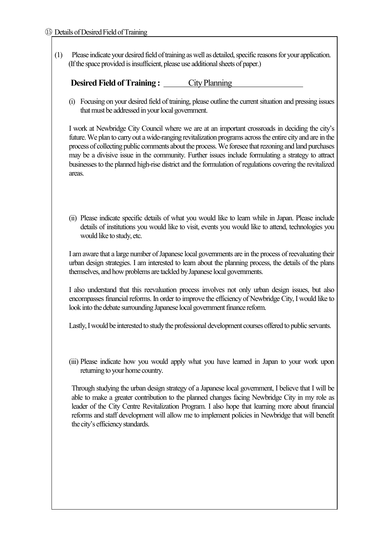(1) Please indicate your desired field of training as well as detailed, specific reasons for your application. (If the space provided is insufficient, please use additional sheets of paper.)

| <b>Desired Field of Training:</b> | City Planning |
|-----------------------------------|---------------|
|                                   |               |

(i) Focusing on your desired field of training, please outline the currentsituation and pressing issues that must be addressed in your local government.

I work at Newbridge City Council where we are at an important crossroads in deciding the city's future. We plan to carry out a wide-ranging revitalization programs across the entire city and are in the process of collecting public comments about the process. We foresee that rezoning and land purchases may be a divisive issue in the community. Further issues include formulating a strategy to attract businessesto the planned high-rise district and the formulation of regulations covering the revitalized areas.

(ii) Please indicate specific details of what you would like to learn while in Japan. Please include details of institutions you would like to visit, events you would like to attend, technologies you would like to study, etc.

I am aware that a large number ofJapanese local governments are in the process of reevaluating their urban design strategies. I am interested to learn about the planning process, the details of the plans themselves, and how problems are tackled by Japanese local governments.

I also understand that this reevaluation process involves not only urban design issues, but also encompassesfinancial reforms. In order to improve the efficiency of NewbridgeCity, I would like to look into the debate surrounding Japanese local government finance reform.

Lastly, I would be interested to study the professional development courses offered to public servants.

(iii) Please indicate how you would apply what you have learned in Japan to your work upon returning to your home country.

Through studying the urban design strategy of a Japanese local government, I believe that I will be able to make a greater contribution to the planned changes facing Newbridge City in my role as leader of the City Centre Revitalization Program. I also hope that learning more about financial reforms and staff development will allow me to implement policies in Newbridge that will benefit the city's efficiencystandards.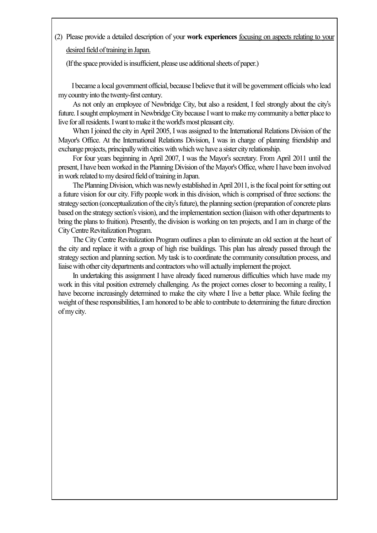(2) Please provide a detailed description of your **work experiences** focusing on aspects relating to your desired field of training in Japan.

(If the space provided is insufficient, please use additional sheets of paper.)

Ibecame a local government official, because Ibelieve that itwill be government officials who lead mycountryinto the twenty-first century.

As not only an employee of Newbridge City, but also a resident, I feel strongly about the city's future. I sought employment in Newbridge City because I want to make my community a better place to live for all residents. I want to make it the world's most pleasant city.

When I joined the city in April 2005, I was assigned to the International Relations Division of the Mayor's Office. At the International Relations Division, I was in charge of planning friendship and exchange projects, principally with cities with which we have a sister city relationship.

For four years beginning in April 2007, I was the Mayor's secretary. From April 2011 until the present,I have been worked in the Planning Division ofthe Mayor's Office, where I have been involved in work related to my desired field of training in Japan.

The Planning Division, which was newly established in April 2011, is the focal point for setting out a future vision for our city. Fifty people work in this division, which is comprised of three sections: the strategy section (conceptualization of the city's future), the planning section (preparation of concrete plans based on the strategy section's vision), and the implementation section (liaison with other departments to bring the plans to fruition). Presently, the division is working on ten projects, and I am in charge of the City Centre Revitalization Program.

The City Centre Revitalization Program outlines a plan to eliminate an old section at the heart of the city and replace it with a group of high rise buildings. This plan has already passed through the strategy section and planning section. My task is to coordinate the community consultation process, and liaisewith other citydepartments and contractorswhowill actuallyimplementthe project.

In undertaking this assignment I have already faced numerous difficulties which have made my work in this vital position extremely challenging. As the project comes closer to becoming a reality, I have become increasingly determined to make the city where I live a better place. While feeling the weight of these responsibilities, I am honored to be able to contribute to determining the future direction ofmycity.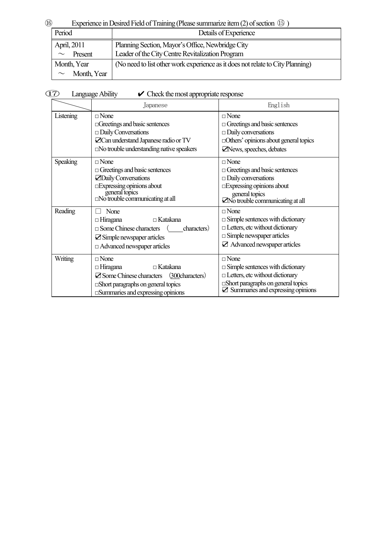## **<sup>(6)</sup>** Experience in Desired Field of Training (Please summarize item (2) of section **(6)** )

| Period            | Details of Experience                                                          |
|-------------------|--------------------------------------------------------------------------------|
| April, 2011       | Planning Section, Mayor's Office, Newbridge City                               |
| Present<br>$\sim$ | Leader of the City Centre Revitalization Program                               |
| Month, Year       | (No need to list other work experience as it does not relate to City Planning) |
| Month, Year       |                                                                                |

| $\circled{17}$ | Language Ability | $\triangleright$ Check the most appropriate response |
|----------------|------------------|------------------------------------------------------|

|                | Japanese                                                                                                                                                                                                      | English                                                                                                                                                                                              |
|----------------|---------------------------------------------------------------------------------------------------------------------------------------------------------------------------------------------------------------|------------------------------------------------------------------------------------------------------------------------------------------------------------------------------------------------------|
| Listening      | $\square$ None<br>$\Box$ Greetings and basic sentences<br>$\Box$ Daily Conversations<br>$Z$ Can understand Japanese radio or TV<br>$\Box$ No trouble understanding native speakers                            | $\square$ None<br>$\Box$ Greetings and basic sentences<br>$\Box$ Daily conversations<br>□ Others' opinions about general topics<br>News, speeches, debates                                           |
| Speaking       | $\Box$ None<br>$\Box$ Greetings and basic sentences<br><b>ZDaily Conversations</b><br>$\square$ Expressing opinions about<br>general topics<br><br>$\square$ No trouble communicating at all                  | $\square$ None<br>$\Box$ Greetings and basic sentences<br>$\Box$ Daily conversations<br><b>Expressing opinions about</b><br>general topics<br>No trouble communicating at all                        |
| Reading        | None<br>$\Box$ Katakana<br>$\Box$ Hiragana<br>$\square$ Some Chinese characters<br>characters)<br>$\mathbf{\Sigma}$ Simple newspaper articles<br>$\Box$ Advanced newspaper articles                           | $\sqcap$ None<br>$\Box$ Simple sentences with dictionary<br>$\Box$ Letters, etc without dictionary<br>$\square$ Simple newspaper articles<br>$\boxtimes$ Advanced newspaper articles                 |
| <b>Writing</b> | $\square$ None<br>$\Box$ Hiragana<br>$\Box$ Katakana<br>(300characters)<br>$\mathbf Z$ Some Chinese characters<br>$\square$ Short paragraphs on general topics<br>$\square$ Summaries and expressing opinions | $\square$ None<br>$\Box$ Simple sentences with dictionary<br>$\Box$ Letters, etc without dictionary<br>$\square$ Short paragraphs on general topics<br>$\boxtimes$ Summaries and expressing opinions |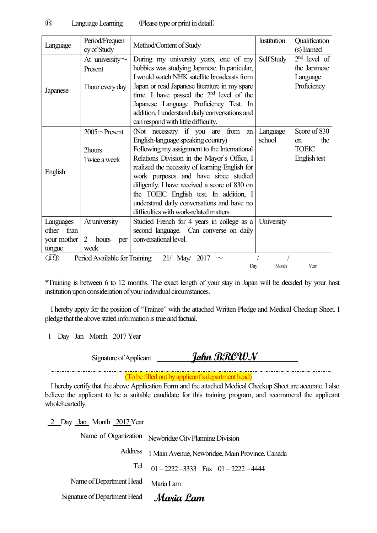| Language        | Period/Frequen                | Method/Content of Study                        | Institution | Qualification        |
|-----------------|-------------------------------|------------------------------------------------|-------------|----------------------|
|                 | cy of Study                   |                                                |             | (s) Earned           |
|                 | At university $\sim$          | During my university years, one of my          | Self Study  | $2nd$ level of       |
|                 | Present                       | hobbies was studying Japanese. In particular,  |             | the Japanese         |
|                 |                               | I would watch NHK satellite broadcasts from    |             | Language             |
|                 | 1 hour every day              | Japan or read Japanese literature in my spare  |             | Proficiency          |
| <b>Japanese</b> |                               | time. I have passed the $2nd$ level of the     |             |                      |
|                 |                               | Japanese Language Proficiency Test. In         |             |                      |
|                 |                               | addition, I understand daily conversations and |             |                      |
|                 |                               | can respond with little difficulty.            |             |                      |
|                 | $2005 \sim$ Present           | (Not necessary if you are from<br>an           | Language    | Score of 830         |
|                 |                               | English-language speaking country)             | school      | the<br><sub>on</sub> |
|                 | 2hours                        | Following my assignment to the International   |             | <b>TOEIC</b>         |
|                 | Twice a week                  | Relations Division in the Mayor's Office, I    |             | English test         |
|                 |                               | realized the necessity of learning English for |             |                      |
| English         |                               | work purposes and have since studied           |             |                      |
|                 |                               | diligently. I have received a score of 830 on  |             |                      |
|                 |                               | the TOEIC English test. In addition, I         |             |                      |
|                 |                               | understand daily conversations and have no     |             |                      |
|                 |                               | difficulties with work-related matters.        |             |                      |
| Languages       | At university                 | Studied French for 4 years in college as a     | University  |                      |
| than<br>other   |                               | second language. Can converse on daily         |             |                      |
| your mother     | 2<br>hours<br>per             | conversational level.                          |             |                      |
| tongue          | week                          |                                                |             |                      |
| ŒD              | Period Available for Training | $21/$ May/<br>2017                             |             |                      |
|                 |                               | Day                                            | Month       | Year                 |

\*Training is between 6 to 12 months. The exact length of your stay in Japan will be decided by your host institution upon consideration of your individual circumstances.

I hereby apply for the position of "Trainee" with the attached Written Pledge and Medical Checkup Sheet. I pledge that the above stated information is true and factual.

1 Day Jan Month 2017Year

\_\_\_\_\_\_\_\_\_\_\_\_\_\_\_\_\_\_\_\_\_\_\_\_\_\_\_\_\_\_

Signature of Applicant **John BROWN** 

(To be filled out by applicant's department head)

I hereby certify that the above Application Form and the attached Medical Checkup Sheet are accurate. I also believe the applicant to be a suitable candidate for this training program, and recommend the applicant wholeheartedly.

2 Day Jan Month 2017 Year

Name of Organization Newbridge City Planning Division

Address 1 Main Avenue, Newbridge, Main Province, Canada

Tel  $01 - 2222 - 3333$  Fax  $01 - 2222 - 4444$ 

Name of Department Head Maria Lam

Signature of Department Head **Maria Lam**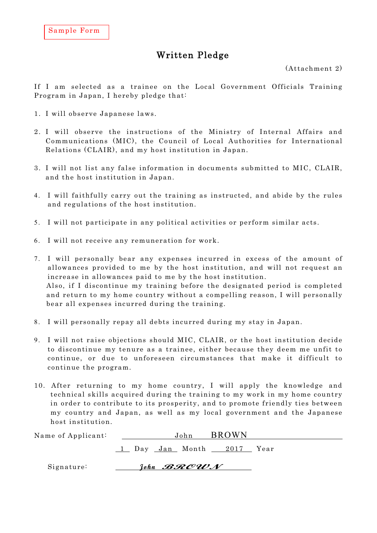### Written Pledge

(Attachment 2)

If I am selected as a trainee on the Local Government Officials Training Program in Japan, I hereby pledge that:

- 1. I will observe Japanese laws .
- 2. I will observe the instructions of the Ministry of Internal Affairs and Communications (MIC), the Council of Local Authorities for International Relations (CLAIR), and my host institution in Japan.
- 3. I will not list any false information in documents submitted to MIC, CLAIR, and the host institution in Japan.
- 4. I will faithfully carry out the training as instructed, and abide by the rules and regulations of the host institution.
- 5. I will not participate in any political activities or perform similar acts.
- 6. I will not receive any remuneration for work.
- 7. I will personally bear any expenses incurred in excess of the amount of allowances provided to me by the host institution, and will not request an increase in allowances paid to me by the host institution. Also, if I discontinue my training before the designated period is completed and return to my home country without a compelling reason, I will personally bear all expenses incurred during the training.
- 8. I will personally repay all debts incurred during my stay in Japan.
- 9. I will not raise objections should MIC, CLAIR, or the host institution decide to discontinue my tenure as a trainee, either because they deem me unfit to continue, or due to unforeseen circumstances that make it difficult to continue the program.
- 10. After returning to my home country, I will apply the knowledge and technical skills acquired during the training to my work in my home country in order to contribute to its prosperity, and to promote friendly ties between my country and Japan, as well as my local government and the Japanese host institution.

| Name of Applicant: | <b>BROWN</b><br>John                |  |
|--------------------|-------------------------------------|--|
|                    | 1 Day <u>Jan</u> Month 2017<br>Year |  |
| Signature:         | John <i>BROUN</i>                   |  |